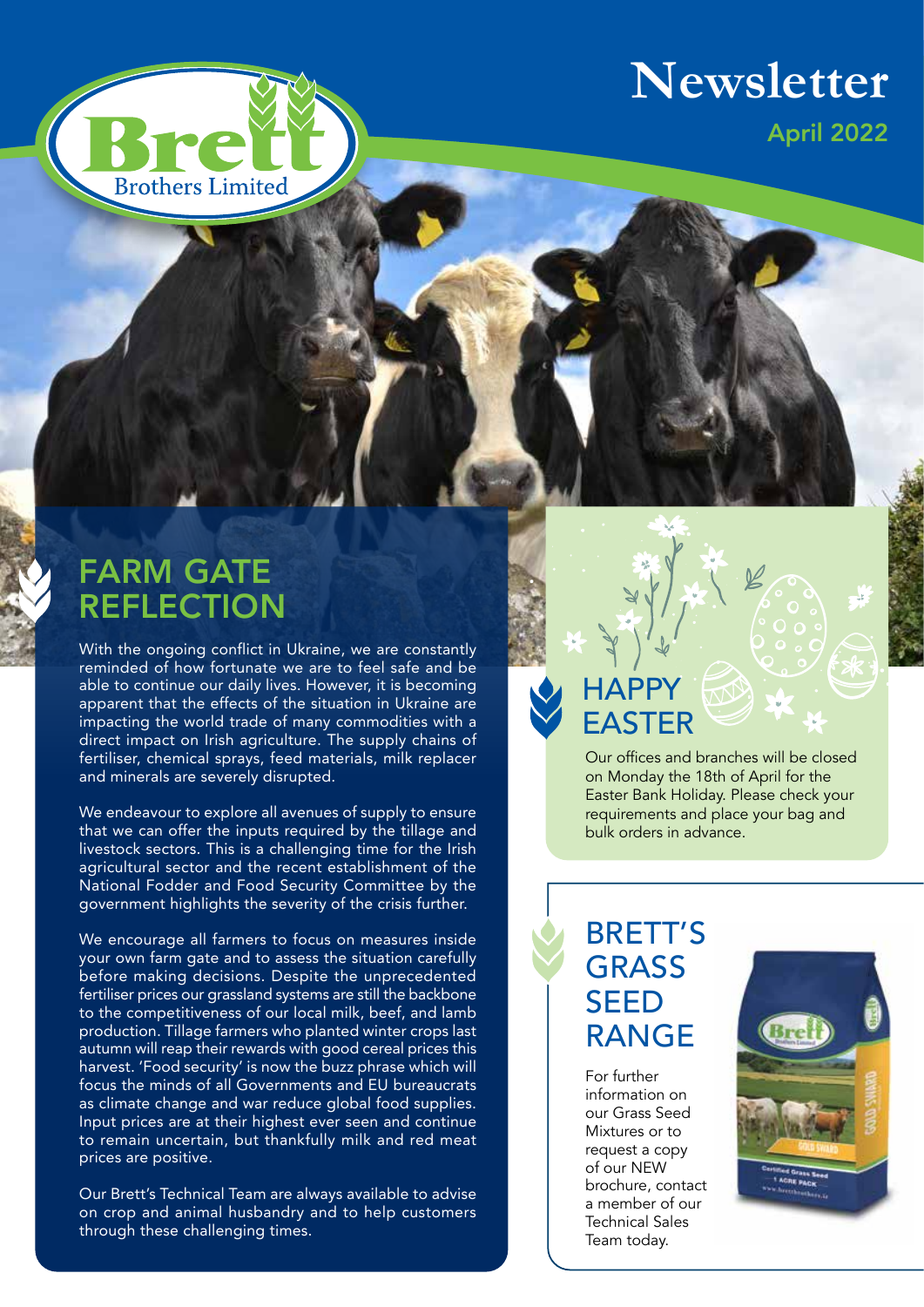

# **Newsletter**

April 2022

### FARM GATE REFLECTION

With the ongoing conflict in Ukraine, we are constantly reminded of how fortunate we are to feel safe and be able to continue our daily lives. However, it is becoming apparent that the effects of the situation in Ukraine are impacting the world trade of many commodities with a direct impact on Irish agriculture. The supply chains of fertiliser, chemical sprays, feed materials, milk replacer and minerals are severely disrupted.

We endeavour to explore all avenues of supply to ensure that we can offer the inputs required by the tillage and livestock sectors. This is a challenging time for the Irish agricultural sector and the recent establishment of the National Fodder and Food Security Committee by the government highlights the severity of the crisis further.

We encourage all farmers to focus on measures inside your own farm gate and to assess the situation carefully before making decisions. Despite the unprecedented fertiliser prices our grassland systems are still the backbone to the competitiveness of our local milk, beef, and lamb production. Tillage farmers who planted winter crops last autumn will reap their rewards with good cereal prices this harvest. 'Food security' is now the buzz phrase which will focus the minds of all Governments and EU bureaucrats as climate change and war reduce global food supplies. Input prices are at their highest ever seen and continue to remain uncertain, but thankfully milk and red meat prices are positive.

Our Brett's Technical Team are always available to advise on crop and animal husbandry and to help customers through these challenging times.

# **HAPPY** EASTER

Our offices and branches will be closed on Monday the 18th of April for the Easter Bank Holiday. Please check your requirements and place your bag and bulk orders in advance.

#### BRETT'S **GRASS SEED** RANGE

For further information on our Grass Seed Mixtures or to request a copy of our NEW brochure, contact a member of our Technical Sales Team today.